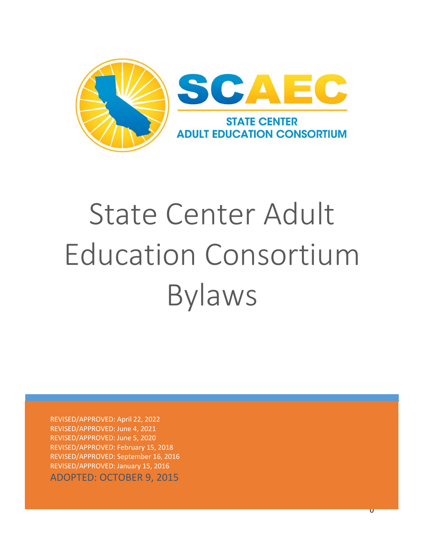

# State Center Adult Education Consortium Bylaws

REVISED/APPROVED: April 22, 2022 REVISED/APPROVED: June 4, 2021 REVISED/APPROVED: June 5, 2020 REVISED/APPROVED: February 15, 2018 REVISED/APPROVED: September 16, 2016 REVISED/APPROVED: January 15, 2016 ADOPTED: OCTOBER 9, 2015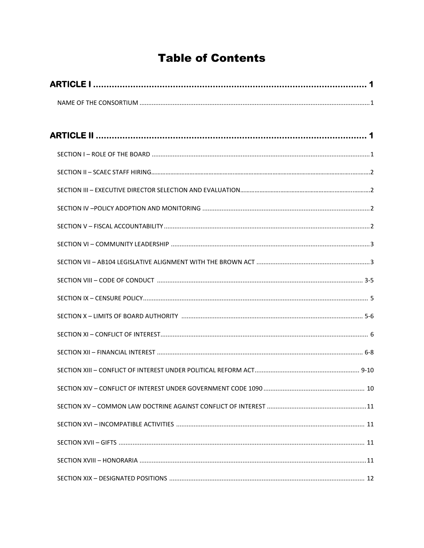# **Table of Contents**

| SECTION XIV - CONFLICT OF INTEREST UNDER GOVERNMENT CODE 1090 | $\therefore$ 10 |
|---------------------------------------------------------------|-----------------|
|                                                               |                 |
|                                                               |                 |
|                                                               |                 |
|                                                               |                 |
|                                                               |                 |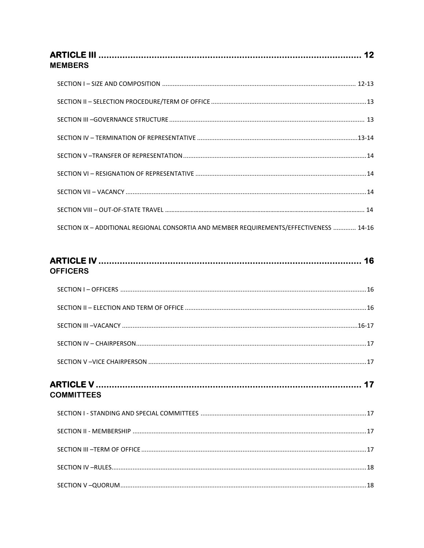| <b>MEMBERS</b>                                                                          |  |
|-----------------------------------------------------------------------------------------|--|
|                                                                                         |  |
|                                                                                         |  |
|                                                                                         |  |
|                                                                                         |  |
|                                                                                         |  |
|                                                                                         |  |
|                                                                                         |  |
|                                                                                         |  |
| SECTION IX - ADDITIONAL REGIONAL CONSORTIA AND MEMBER REQUIREMENTS/EFFECTIVENESS  14-16 |  |
| <b>OFFICERS</b>                                                                         |  |
|                                                                                         |  |
|                                                                                         |  |
|                                                                                         |  |
|                                                                                         |  |
|                                                                                         |  |
| <b>COMMITTEES</b>                                                                       |  |
|                                                                                         |  |
|                                                                                         |  |
|                                                                                         |  |
|                                                                                         |  |
|                                                                                         |  |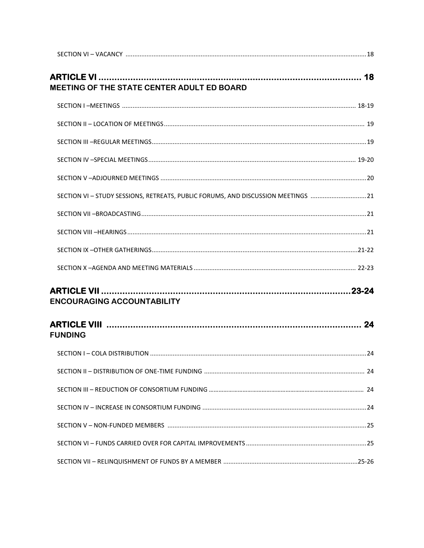| MEETING OF THE STATE CENTER ADULT ED BOARD                                       |  |
|----------------------------------------------------------------------------------|--|
|                                                                                  |  |
|                                                                                  |  |
|                                                                                  |  |
|                                                                                  |  |
|                                                                                  |  |
| SECTION VI - STUDY SESSIONS, RETREATS, PUBLIC FORUMS, AND DISCUSSION MEETINGS 21 |  |
|                                                                                  |  |
|                                                                                  |  |
|                                                                                  |  |
|                                                                                  |  |
| <b>ENCOURAGING ACCOUNTABILITY</b>                                                |  |
| <b>FUNDING</b>                                                                   |  |
|                                                                                  |  |
|                                                                                  |  |
|                                                                                  |  |
|                                                                                  |  |
|                                                                                  |  |
|                                                                                  |  |
|                                                                                  |  |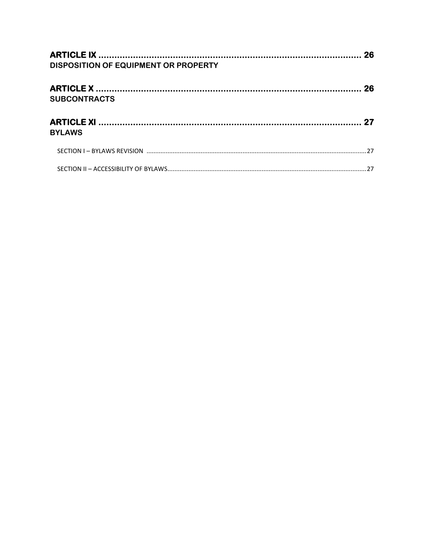| DISPOSITION OF EQUIPMENT OR PROPERTY |  |
|--------------------------------------|--|
|                                      |  |
|                                      |  |
| <b>SUBCONTRACTS</b>                  |  |
|                                      |  |
|                                      |  |
| <b>BYLAWS</b>                        |  |
|                                      |  |
|                                      |  |
|                                      |  |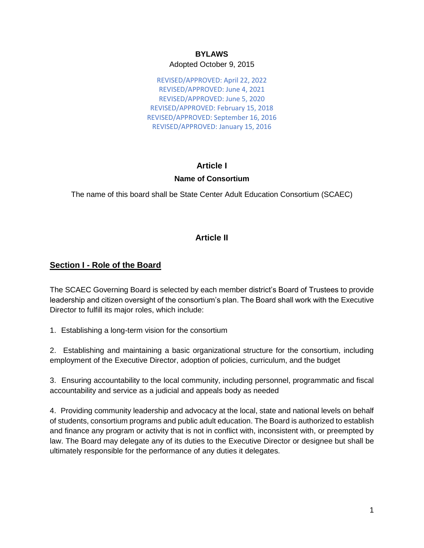## **BYLAWS** Adopted October 9, 2015

REVISED/APPROVED: April 22, 2022 REVISED/APPROVED: June 4, 2021 REVISED/APPROVED: June 5, 2020 REVISED/APPROVED: February 15, 2018 REVISED/APPROVED: September 16, 2016 REVISED/APPROVED: January 15, 2016

# **Article I Name of Consortium**

The name of this board shall be State Center Adult Education Consortium (SCAEC)

# **Article II**

# **Section I - Role of the Board**

The SCAEC Governing Board is selected by each member district's Board of Trustees to provide leadership and citizen oversight of the consortium's plan. The Board shall work with the Executive Director to fulfill its major roles, which include:

1. Establishing a long-term vision for the consortium

2. Establishing and maintaining a basic organizational structure for the consortium, including employment of the Executive Director, adoption of policies, curriculum, and the budget

3. Ensuring accountability to the local community, including personnel, programmatic and fiscal accountability and service as a judicial and appeals body as needed

4. Providing community leadership and advocacy at the local, state and national levels on behalf of students, consortium programs and public adult education. The Board is authorized to establish and finance any program or activity that is not in conflict with, inconsistent with, or preempted by law. The Board may delegate any of its duties to the Executive Director or designee but shall be ultimately responsible for the performance of any duties it delegates.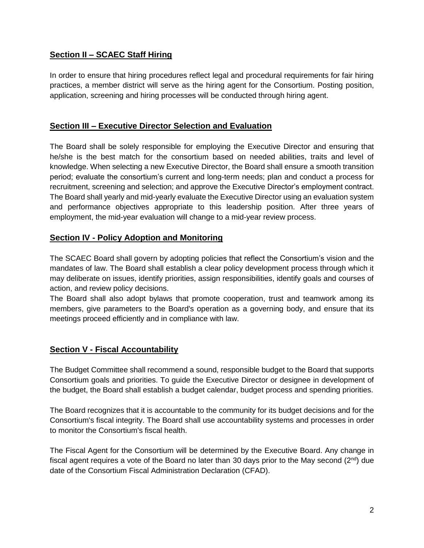# **Section II – SCAEC Staff Hiring**

In order to ensure that hiring procedures reflect legal and procedural requirements for fair hiring practices, a member district will serve as the hiring agent for the Consortium. Posting position, application, screening and hiring processes will be conducted through hiring agent.

# **Section III – Executive Director Selection and Evaluation**

The Board shall be solely responsible for employing the Executive Director and ensuring that he/she is the best match for the consortium based on needed abilities, traits and level of knowledge. When selecting a new Executive Director, the Board shall ensure a smooth transition period; evaluate the consortium's current and long-term needs; plan and conduct a process for recruitment, screening and selection; and approve the Executive Director's employment contract. The Board shall yearly and mid-yearly evaluate the Executive Director using an evaluation system and performance objectives appropriate to this leadership position. After three years of employment, the mid-year evaluation will change to a mid-year review process.

# **Section IV - Policy Adoption and Monitoring**

The SCAEC Board shall govern by adopting policies that reflect the Consortium's vision and the mandates of law. The Board shall establish a clear policy development process through which it may deliberate on issues, identify priorities, assign responsibilities, identify goals and courses of action, and review policy decisions.

The Board shall also adopt bylaws that promote cooperation, trust and teamwork among its members, give parameters to the Board's operation as a governing body, and ensure that its meetings proceed efficiently and in compliance with law.

# **Section V - Fiscal Accountability**

The Budget Committee shall recommend a sound, responsible budget to the Board that supports Consortium goals and priorities. To guide the Executive Director or designee in development of the budget, the Board shall establish a budget calendar, budget process and spending priorities.

The Board recognizes that it is accountable to the community for its budget decisions and for the Consortium's fiscal integrity. The Board shall use accountability systems and processes in order to monitor the Consortium's fiscal health.

The Fiscal Agent for the Consortium will be determined by the Executive Board. Any change in fiscal agent requires a vote of the Board no later than 30 days prior to the May second  $(2^{nd})$  due date of the Consortium Fiscal Administration Declaration (CFAD).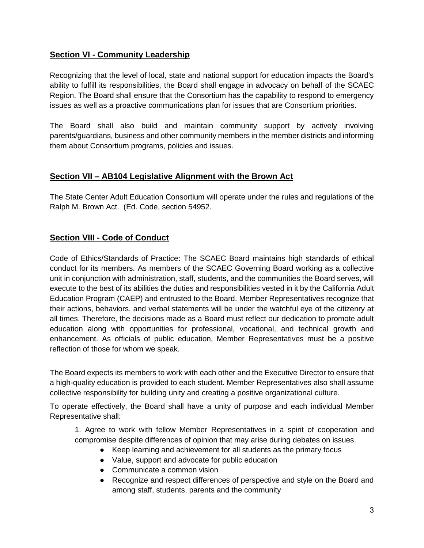# **Section VI - Community Leadership**

Recognizing that the level of local, state and national support for education impacts the Board's ability to fulfill its responsibilities, the Board shall engage in advocacy on behalf of the SCAEC Region. The Board shall ensure that the Consortium has the capability to respond to emergency issues as well as a proactive communications plan for issues that are Consortium priorities.

The Board shall also build and maintain community support by actively involving parents/guardians, business and other community members in the member districts and informing them about Consortium programs, policies and issues.

# **Section VII – AB104 Legislative Alignment with the Brown Act**

The State Center Adult Education Consortium will operate under the rules and regulations of the Ralph M. Brown Act. (Ed. Code, section 54952.

# **Section VIII - Code of Conduct**

Code of Ethics/Standards of Practice: The SCAEC Board maintains high standards of ethical conduct for its members. As members of the SCAEC Governing Board working as a collective unit in conjunction with administration, staff, students, and the communities the Board serves, will execute to the best of its abilities the duties and responsibilities vested in it by the California Adult Education Program (CAEP) and entrusted to the Board. Member Representatives recognize that their actions, behaviors, and verbal statements will be under the watchful eye of the citizenry at all times. Therefore, the decisions made as a Board must reflect our dedication to promote adult education along with opportunities for professional, vocational, and technical growth and enhancement. As officials of public education, Member Representatives must be a positive reflection of those for whom we speak.

The Board expects its members to work with each other and the Executive Director to ensure that a high-quality education is provided to each student. Member Representatives also shall assume collective responsibility for building unity and creating a positive organizational culture.

To operate effectively, the Board shall have a unity of purpose and each individual Member Representative shall:

1. Agree to work with fellow Member Representatives in a spirit of cooperation and compromise despite differences of opinion that may arise during debates on issues.

- Keep learning and achievement for all students as the primary focus
- Value, support and advocate for public education
- Communicate a common vision
- Recognize and respect differences of perspective and style on the Board and among staff, students, parents and the community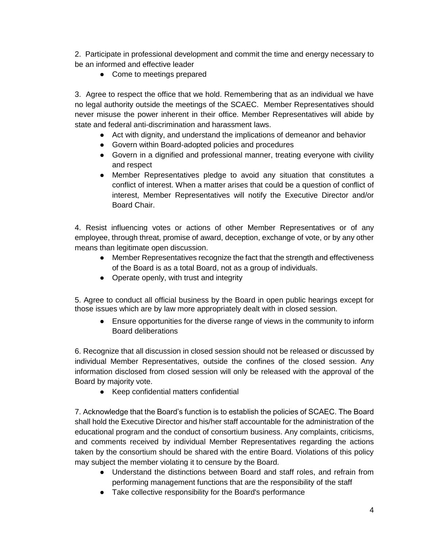2. Participate in professional development and commit the time and energy necessary to be an informed and effective leader

• Come to meetings prepared

3. Agree to respect the office that we hold. Remembering that as an individual we have no legal authority outside the meetings of the SCAEC. Member Representatives should never misuse the power inherent in their office. Member Representatives will abide by state and federal anti-discrimination and harassment laws.

- Act with dignity, and understand the implications of demeanor and behavior
- Govern within Board-adopted policies and procedures
- Govern in a dignified and professional manner, treating everyone with civility and respect
- Member Representatives pledge to avoid any situation that constitutes a conflict of interest. When a matter arises that could be a question of conflict of interest, Member Representatives will notify the Executive Director and/or Board Chair.

4. Resist influencing votes or actions of other Member Representatives or of any employee, through threat, promise of award, deception, exchange of vote, or by any other means than legitimate open discussion.

- Member Representatives recognize the fact that the strength and effectiveness of the Board is as a total Board, not as a group of individuals.
- Operate openly, with trust and integrity

5. Agree to conduct all official business by the Board in open public hearings except for those issues which are by law more appropriately dealt with in closed session.

● Ensure opportunities for the diverse range of views in the community to inform Board deliberations

6. Recognize that all discussion in closed session should not be released or discussed by individual Member Representatives, outside the confines of the closed session. Any information disclosed from closed session will only be released with the approval of the Board by majority vote.

● Keep confidential matters confidential

7. Acknowledge that the Board's function is to establish the policies of SCAEC. The Board shall hold the Executive Director and his/her staff accountable for the administration of the educational program and the conduct of consortium business. Any complaints, criticisms, and comments received by individual Member Representatives regarding the actions taken by the consortium should be shared with the entire Board. Violations of this policy may subject the member violating it to censure by the Board.

- Understand the distinctions between Board and staff roles, and refrain from performing management functions that are the responsibility of the staff
- Take collective responsibility for the Board's performance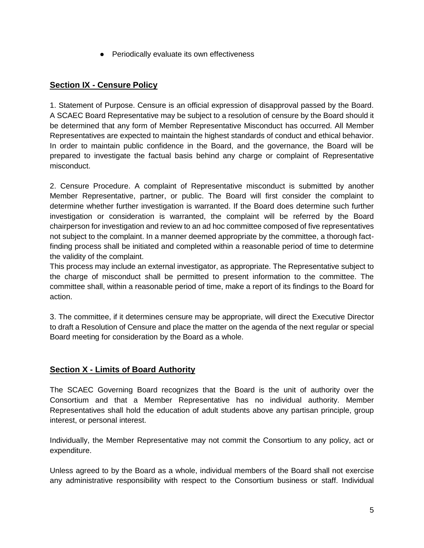● Periodically evaluate its own effectiveness

# **Section IX - Censure Policy**

1. Statement of Purpose. Censure is an official expression of disapproval passed by the Board. A SCAEC Board Representative may be subject to a resolution of censure by the Board should it be determined that any form of Member Representative Misconduct has occurred. All Member Representatives are expected to maintain the highest standards of conduct and ethical behavior. In order to maintain public confidence in the Board, and the governance, the Board will be prepared to investigate the factual basis behind any charge or complaint of Representative misconduct.

2. Censure Procedure. A complaint of Representative misconduct is submitted by another Member Representative, partner, or public. The Board will first consider the complaint to determine whether further investigation is warranted. If the Board does determine such further investigation or consideration is warranted, the complaint will be referred by the Board chairperson for investigation and review to an ad hoc committee composed of five representatives not subject to the complaint. In a manner deemed appropriate by the committee, a thorough factfinding process shall be initiated and completed within a reasonable period of time to determine the validity of the complaint.

This process may include an external investigator, as appropriate. The Representative subject to the charge of misconduct shall be permitted to present information to the committee. The committee shall, within a reasonable period of time, make a report of its findings to the Board for action.

3. The committee, if it determines censure may be appropriate, will direct the Executive Director to draft a Resolution of Censure and place the matter on the agenda of the next regular or special Board meeting for consideration by the Board as a whole.

# **Section X - Limits of Board Authority**

The SCAEC Governing Board recognizes that the Board is the unit of authority over the Consortium and that a Member Representative has no individual authority. Member Representatives shall hold the education of adult students above any partisan principle, group interest, or personal interest.

Individually, the Member Representative may not commit the Consortium to any policy, act or expenditure.

Unless agreed to by the Board as a whole, individual members of the Board shall not exercise any administrative responsibility with respect to the Consortium business or staff. Individual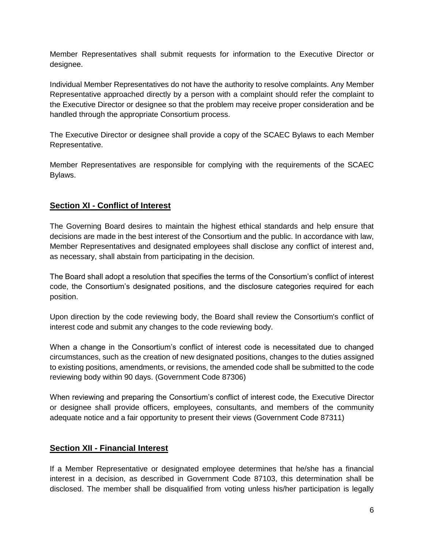Member Representatives shall submit requests for information to the Executive Director or designee.

Individual Member Representatives do not have the authority to resolve complaints. Any Member Representative approached directly by a person with a complaint should refer the complaint to the Executive Director or designee so that the problem may receive proper consideration and be handled through the appropriate Consortium process.

The Executive Director or designee shall provide a copy of the SCAEC Bylaws to each Member Representative.

Member Representatives are responsible for complying with the requirements of the SCAEC Bylaws.

# **Section XI - Conflict of Interest**

The Governing Board desires to maintain the highest ethical standards and help ensure that decisions are made in the best interest of the Consortium and the public. In accordance with law, Member Representatives and designated employees shall disclose any conflict of interest and, as necessary, shall abstain from participating in the decision.

The Board shall adopt a resolution that specifies the terms of the Consortium's conflict of interest code, the Consortium's designated positions, and the disclosure categories required for each position.

Upon direction by the code reviewing body, the Board shall review the Consortium's conflict of interest code and submit any changes to the code reviewing body.

When a change in the Consortium's conflict of interest code is necessitated due to changed circumstances, such as the creation of new designated positions, changes to the duties assigned to existing positions, amendments, or revisions, the amended code shall be submitted to the code reviewing body within 90 days. (Government Code 87306)

When reviewing and preparing the Consortium's conflict of interest code, the Executive Director or designee shall provide officers, employees, consultants, and members of the community adequate notice and a fair opportunity to present their views (Government Code 87311)

## **Section XII - Financial Interest**

If a Member Representative or designated employee determines that he/she has a financial interest in a decision, as described in Government Code 87103, this determination shall be disclosed. The member shall be disqualified from voting unless his/her participation is legally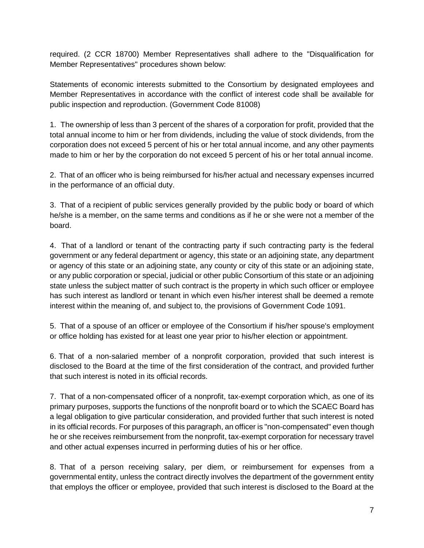required. (2 CCR 18700) Member Representatives shall adhere to the "Disqualification for Member Representatives" procedures shown below:

Statements of economic interests submitted to the Consortium by designated employees and Member Representatives in accordance with the conflict of interest code shall be available for public inspection and reproduction. (Government Code 81008)

1. The ownership of less than 3 percent of the shares of a corporation for profit, provided that the total annual income to him or her from dividends, including the value of stock dividends, from the corporation does not exceed 5 percent of his or her total annual income, and any other payments made to him or her by the corporation do not exceed 5 percent of his or her total annual income.

2. That of an officer who is being reimbursed for his/her actual and necessary expenses incurred in the performance of an official duty.

3. That of a recipient of public services generally provided by the public body or board of which he/she is a member, on the same terms and conditions as if he or she were not a member of the board.

4. That of a landlord or tenant of the contracting party if such contracting party is the federal government or any federal department or agency, this state or an adjoining state, any department or agency of this state or an adjoining state, any county or city of this state or an adjoining state, or any public corporation or special, judicial or other public Consortium of this state or an adjoining state unless the subject matter of such contract is the property in which such officer or employee has such interest as landlord or tenant in which even his/her interest shall be deemed a remote interest within the meaning of, and subject to, the provisions of Government Code 1091.

5. That of a spouse of an officer or employee of the Consortium if his/her spouse's employment or office holding has existed for at least one year prior to his/her election or appointment.

6. That of a non-salaried member of a nonprofit corporation, provided that such interest is disclosed to the Board at the time of the first consideration of the contract, and provided further that such interest is noted in its official records.

7. That of a non-compensated officer of a nonprofit, tax-exempt corporation which, as one of its primary purposes, supports the functions of the nonprofit board or to which the SCAEC Board has a legal obligation to give particular consideration, and provided further that such interest is noted in its official records. For purposes of this paragraph, an officer is "non-compensated" even though he or she receives reimbursement from the nonprofit, tax-exempt corporation for necessary travel and other actual expenses incurred in performing duties of his or her office.

8. That of a person receiving salary, per diem, or reimbursement for expenses from a governmental entity, unless the contract directly involves the department of the government entity that employs the officer or employee, provided that such interest is disclosed to the Board at the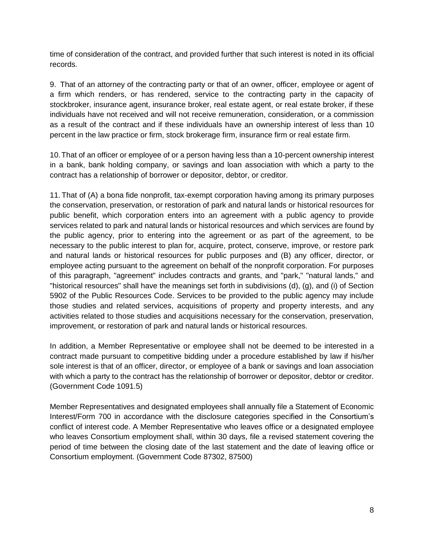time of consideration of the contract, and provided further that such interest is noted in its official records.

9. That of an attorney of the contracting party or that of an owner, officer, employee or agent of a firm which renders, or has rendered, service to the contracting party in the capacity of stockbroker, insurance agent, insurance broker, real estate agent, or real estate broker, if these individuals have not received and will not receive remuneration, consideration, or a commission as a result of the contract and if these individuals have an ownership interest of less than 10 percent in the law practice or firm, stock brokerage firm, insurance firm or real estate firm.

10.That of an officer or employee of or a person having less than a 10-percent ownership interest in a bank, bank holding company, or savings and loan association with which a party to the contract has a relationship of borrower or depositor, debtor, or creditor.

11. That of (A) a bona fide nonprofit, tax-exempt corporation having among its primary purposes the conservation, preservation, or restoration of park and natural lands or historical resources for public benefit, which corporation enters into an agreement with a public agency to provide services related to park and natural lands or historical resources and which services are found by the public agency, prior to entering into the agreement or as part of the agreement, to be necessary to the public interest to plan for, acquire, protect, conserve, improve, or restore park and natural lands or historical resources for public purposes and (B) any officer, director, or employee acting pursuant to the agreement on behalf of the nonprofit corporation. For purposes of this paragraph, "agreement" includes contracts and grants, and "park," "natural lands," and "historical resources" shall have the meanings set forth in subdivisions (d), (g), and (i) of Section 5902 of the Public Resources Code. Services to be provided to the public agency may include those studies and related services, acquisitions of property and property interests, and any activities related to those studies and acquisitions necessary for the conservation, preservation, improvement, or restoration of park and natural lands or historical resources.

In addition, a Member Representative or employee shall not be deemed to be interested in a contract made pursuant to competitive bidding under a procedure established by law if his/her sole interest is that of an officer, director, or employee of a bank or savings and loan association with which a party to the contract has the relationship of borrower or depositor, debtor or creditor. (Government Code 1091.5)

Member Representatives and designated employees shall annually file a Statement of Economic Interest/Form 700 in accordance with the disclosure categories specified in the Consortium's conflict of interest code. A Member Representative who leaves office or a designated employee who leaves Consortium employment shall, within 30 days, file a revised statement covering the period of time between the closing date of the last statement and the date of leaving office or Consortium employment. (Government Code 87302, 87500)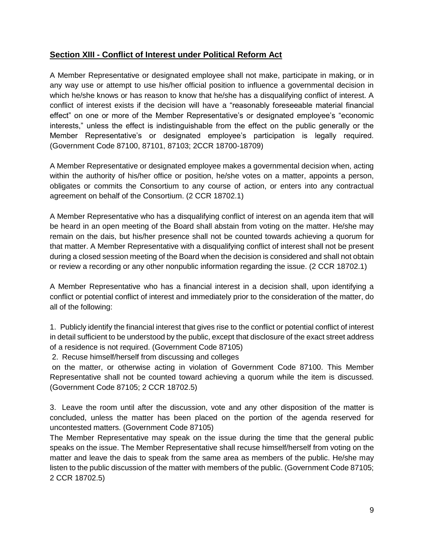# **Section XIII - Conflict of Interest under Political Reform Act**

A Member Representative or designated employee shall not make, participate in making, or in any way use or attempt to use his/her official position to influence a governmental decision in which he/she knows or has reason to know that he/she has a disqualifying conflict of interest. A conflict of interest exists if the decision will have a "reasonably foreseeable material financial effect" on one or more of the Member Representative's or designated employee's "economic interests," unless the effect is indistinguishable from the effect on the public generally or the Member Representative's or designated employee's participation is legally required. (Government Code 87100, 87101, 87103; 2CCR 18700-18709)

A Member Representative or designated employee makes a governmental decision when, acting within the authority of his/her office or position, he/she votes on a matter, appoints a person, obligates or commits the Consortium to any course of action, or enters into any contractual agreement on behalf of the Consortium. (2 CCR 18702.1)

A Member Representative who has a disqualifying conflict of interest on an agenda item that will be heard in an open meeting of the Board shall abstain from voting on the matter. He/she may remain on the dais, but his/her presence shall not be counted towards achieving a quorum for that matter. A Member Representative with a disqualifying conflict of interest shall not be present during a closed session meeting of the Board when the decision is considered and shall not obtain or review a recording or any other nonpublic information regarding the issue. (2 CCR 18702.1)

A Member Representative who has a financial interest in a decision shall, upon identifying a conflict or potential conflict of interest and immediately prior to the consideration of the matter, do all of the following:

1. Publicly identify the financial interest that gives rise to the conflict or potential conflict of interest in detail sufficient to be understood by the public, except that disclosure of the exact street address of a residence is not required. (Government Code 87105)

2. Recuse himself/herself from discussing and colleges

on the matter, or otherwise acting in violation of Government Code 87100. This Member Representative shall not be counted toward achieving a quorum while the item is discussed. (Government Code 87105; 2 CCR 18702.5)

3. Leave the room until after the discussion, vote and any other disposition of the matter is concluded, unless the matter has been placed on the portion of the agenda reserved for uncontested matters. (Government Code 87105)

The Member Representative may speak on the issue during the time that the general public speaks on the issue. The Member Representative shall recuse himself/herself from voting on the matter and leave the dais to speak from the same area as members of the public. He/she may listen to the public discussion of the matter with members of the public. (Government Code 87105; 2 CCR 18702.5)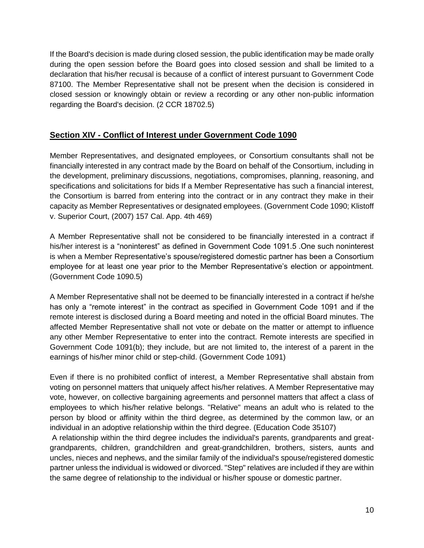If the Board's decision is made during closed session, the public identification may be made orally during the open session before the Board goes into closed session and shall be limited to a declaration that his/her recusal is because of a conflict of interest pursuant to Government Code 87100. The Member Representative shall not be present when the decision is considered in closed session or knowingly obtain or review a recording or any other non-public information regarding the Board's decision. (2 CCR 18702.5)

# **Section XIV - Conflict of Interest under Government Code 1090**

Member Representatives, and designated employees, or Consortium consultants shall not be financially interested in any contract made by the Board on behalf of the Consortium, including in the development, preliminary discussions, negotiations, compromises, planning, reasoning, and specifications and solicitations for bids If a Member Representative has such a financial interest, the Consortium is barred from entering into the contract or in any contract they make in their capacity as Member Representatives or designated employees. (Government Code 1090; Klistoff v. Superior Court, (2007) 157 Cal. App. 4th 469)

A Member Representative shall not be considered to be financially interested in a contract if his/her interest is a "noninterest" as defined in Government Code 1091.5 .One such noninterest is when a Member Representative's spouse/registered domestic partner has been a Consortium employee for at least one year prior to the Member Representative's election or appointment. (Government Code 1090.5)

A Member Representative shall not be deemed to be financially interested in a contract if he/she has only a "remote interest" in the contract as specified in Government Code 1091 and if the remote interest is disclosed during a Board meeting and noted in the official Board minutes. The affected Member Representative shall not vote or debate on the matter or attempt to influence any other Member Representative to enter into the contract. Remote interests are specified in Government Code 1091(b); they include, but are not limited to, the interest of a parent in the earnings of his/her minor child or step-child. (Government Code 1091)

Even if there is no prohibited conflict of interest, a Member Representative shall abstain from voting on personnel matters that uniquely affect his/her relatives. A Member Representative may vote, however, on collective bargaining agreements and personnel matters that affect a class of employees to which his/her relative belongs. "Relative" means an adult who is related to the person by blood or affinity within the third degree, as determined by the common law, or an individual in an adoptive relationship within the third degree. (Education Code 35107)

A relationship within the third degree includes the individual's parents, grandparents and greatgrandparents, children, grandchildren and great-grandchildren, brothers, sisters, aunts and uncles, nieces and nephews, and the similar family of the individual's spouse/registered domestic partner unless the individual is widowed or divorced. "Step" relatives are included if they are within the same degree of relationship to the individual or his/her spouse or domestic partner.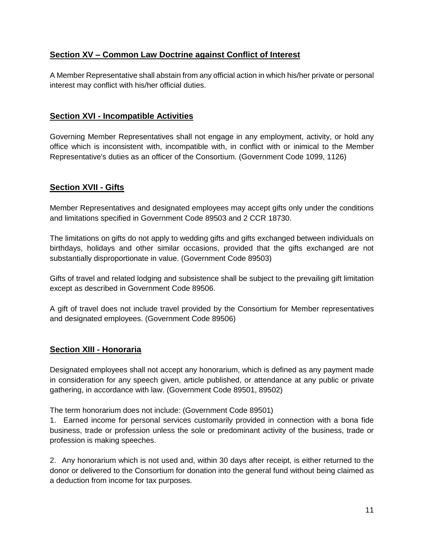# **Section XV – Common Law Doctrine against Conflict of Interest**

A Member Representative shall abstain from any official action in which his/her private or personal interest may conflict with his/her official duties.

## **Section XVI - Incompatible Activities**

Governing Member Representatives shall not engage in any employment, activity, or hold any office which is inconsistent with, incompatible with, in conflict with or inimical to the Member Representative's duties as an officer of the Consortium. (Government Code 1099, 1126)

# **Section XVII - Gifts**

Member Representatives and designated employees may accept gifts only under the conditions and limitations specified in Government Code 89503 and 2 CCR 18730.

The limitations on gifts do not apply to wedding gifts and gifts exchanged between individuals on birthdays, holidays and other similar occasions, provided that the gifts exchanged are not substantially disproportionate in value. (Government Code 89503)

Gifts of travel and related lodging and subsistence shall be subject to the prevailing gift limitation except as described in Government Code 89506.

A gift of travel does not include travel provided by the Consortium for Member representatives and designated employees. (Government Code 89506)

## **Section XIII - Honoraria**

Designated employees shall not accept any honorarium, which is defined as any payment made in consideration for any speech given, article published, or attendance at any public or private gathering, in accordance with law. (Government Code 89501, 89502)

The term honorarium does not include: (Government Code 89501)

1. Earned income for personal services customarily provided in connection with a bona fide business, trade or profession unless the sole or predominant activity of the business, trade or profession is making speeches.

2. Any honorarium which is not used and, within 30 days after receipt, is either returned to the donor or delivered to the Consortium for donation into the general fund without being claimed as a deduction from income for tax purposes.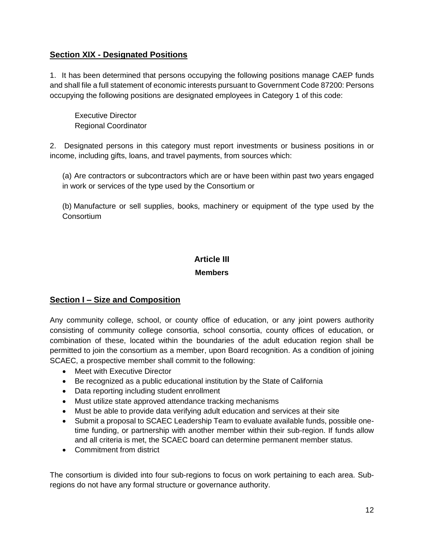# **Section XIX - Designated Positions**

1. It has been determined that persons occupying the following positions manage CAEP funds and shall file a full statement of economic interests pursuant to Government Code 87200: Persons occupying the following positions are designated employees in Category 1 of this code:

Executive Director Regional Coordinator

2. Designated persons in this category must report investments or business positions in or income, including gifts, loans, and travel payments, from sources which:

(a) Are contractors or subcontractors which are or have been within past two years engaged in work or services of the type used by the Consortium or

(b) Manufacture or sell supplies, books, machinery or equipment of the type used by the **Consortium** 

# **Article III**

#### **Members**

# **Section I – Size and Composition**

Any community college, school, or county office of education, or any joint powers authority consisting of community college consortia, school consortia, county offices of education, or combination of these, located within the boundaries of the adult education region shall be permitted to join the consortium as a member, upon Board recognition. As a condition of joining SCAEC, a prospective member shall commit to the following:

- Meet with Executive Director
- Be recognized as a public educational institution by the State of California
- Data reporting including student enrollment
- Must utilize state approved attendance tracking mechanisms
- Must be able to provide data verifying adult education and services at their site
- Submit a proposal to SCAEC Leadership Team to evaluate available funds, possible onetime funding, or partnership with another member within their sub-region. If funds allow and all criteria is met, the SCAEC board can determine permanent member status.
- Commitment from district

The consortium is divided into four sub-regions to focus on work pertaining to each area. Subregions do not have any formal structure or governance authority.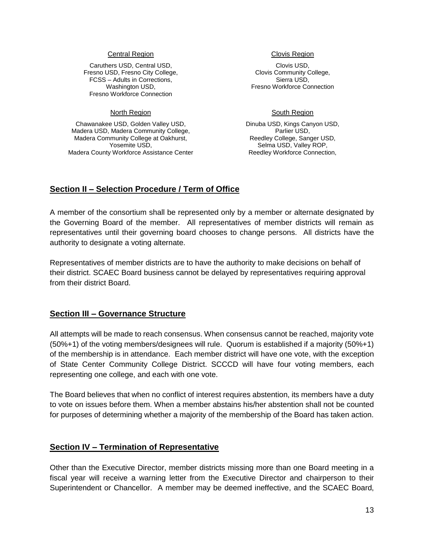#### Central Region

Caruthers USD, Central USD, Fresno USD, Fresno City College, FCSS – Adults in Corrections, Washington USD, Fresno Workforce Connection

#### North Region

Chawanakee USD, Golden Valley USD, Madera USD, Madera Community College, Madera Community College at Oakhurst, Yosemite USD, Madera County Workforce Assistance Center

#### Clovis Region

Clovis USD, Clovis Community College, Sierra USD, Fresno Workforce Connection

#### South Region

Dinuba USD, Kings Canyon USD, Parlier USD, Reedley College, Sanger USD, Selma USD, Valley ROP, Reedley Workforce Connection,

## **Section II – Selection Procedure / Term of Office**

A member of the consortium shall be represented only by a member or alternate designated by the Governing Board of the member. All representatives of member districts will remain as representatives until their governing board chooses to change persons. All districts have the authority to designate a voting alternate.

Representatives of member districts are to have the authority to make decisions on behalf of their district. SCAEC Board business cannot be delayed by representatives requiring approval from their district Board.

## **Section III – Governance Structure**

All attempts will be made to reach consensus. When consensus cannot be reached, majority vote (50%+1) of the voting members/designees will rule. Quorum is established if a majority (50%+1) of the membership is in attendance. Each member district will have one vote, with the exception of State Center Community College District. SCCCD will have four voting members, each representing one college, and each with one vote.

The Board believes that when no conflict of interest requires abstention, its members have a duty to vote on issues before them. When a member abstains his/her abstention shall not be counted for purposes of determining whether a majority of the membership of the Board has taken action.

## **Section IV – Termination of Representative**

Other than the Executive Director, member districts missing more than one Board meeting in a fiscal year will receive a warning letter from the Executive Director and chairperson to their Superintendent or Chancellor. A member may be deemed ineffective, and the SCAEC Board,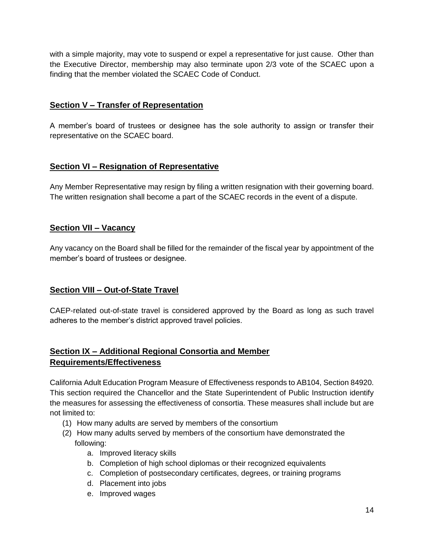with a simple majority, may vote to suspend or expel a representative for just cause. Other than the Executive Director, membership may also terminate upon 2/3 vote of the SCAEC upon a finding that the member violated the SCAEC Code of Conduct.

# **Section V – Transfer of Representation**

A member's board of trustees or designee has the sole authority to assign or transfer their representative on the SCAEC board.

# **Section VI – Resignation of Representative**

Any Member Representative may resign by filing a written resignation with their governing board. The written resignation shall become a part of the SCAEC records in the event of a dispute.

# **Section VII – Vacancy**

Any vacancy on the Board shall be filled for the remainder of the fiscal year by appointment of the member's board of trustees or designee.

# **Section VIII – Out-of-State Travel**

CAEP-related out-of-state travel is considered approved by the Board as long as such travel adheres to the member's district approved travel policies.

# **Section IX – Additional Regional Consortia and Member Requirements/Effectiveness**

California Adult Education Program Measure of Effectiveness responds to AB104, Section 84920. This section required the Chancellor and the State Superintendent of Public Instruction identify the measures for assessing the effectiveness of consortia. These measures shall include but are not limited to:

- (1) How many adults are served by members of the consortium
- (2) How many adults served by members of the consortium have demonstrated the following:
	- a. Improved literacy skills
	- b. Completion of high school diplomas or their recognized equivalents
	- c. Completion of postsecondary certificates, degrees, or training programs
	- d. Placement into jobs
	- e. Improved wages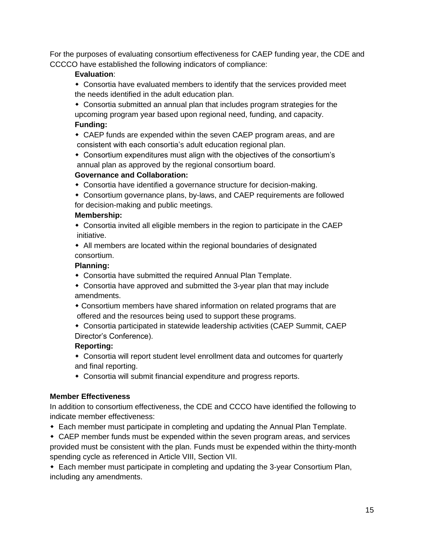For the purposes of evaluating consortium effectiveness for CAEP funding year, the CDE and CCCCO have established the following indicators of compliance:

#### **Evaluation**:

- Consortia have evaluated members to identify that the services provided meet the needs identified in the adult education plan.
- Consortia submitted an annual plan that includes program strategies for the upcoming program year based upon regional need, funding, and capacity. **Funding:**
- CAEP funds are expended within the seven CAEP program areas, and are consistent with each consortia's adult education regional plan.
- Consortium expenditures must align with the objectives of the consortium's annual plan as approved by the regional consortium board.

#### **Governance and Collaboration:**

- Consortia have identified a governance structure for decision-making.
- Consortium governance plans, by-laws, and CAEP requirements are followed for decision-making and public meetings.

#### **Membership:**

 Consortia invited all eligible members in the region to participate in the CAEP initiative.

 All members are located within the regional boundaries of designated consortium.

#### **Planning:**

- Consortia have submitted the required Annual Plan Template.
- Consortia have approved and submitted the 3-year plan that may include amendments.
- Consortium members have shared information on related programs that are offered and the resources being used to support these programs.
- Consortia participated in statewide leadership activities (CAEP Summit, CAEP Director's Conference).

## **Reporting:**

- Consortia will report student level enrollment data and outcomes for quarterly and final reporting.
- Consortia will submit financial expenditure and progress reports.

## **Member Effectiveness**

In addition to consortium effectiveness, the CDE and CCCO have identified the following to indicate member effectiveness:

- Each member must participate in completing and updating the Annual Plan Template.
- CAEP member funds must be expended within the seven program areas, and services provided must be consistent with the plan. Funds must be expended within the thirty-month spending cycle as referenced in Article VIII, Section VII.

 Each member must participate in completing and updating the 3-year Consortium Plan, including any amendments.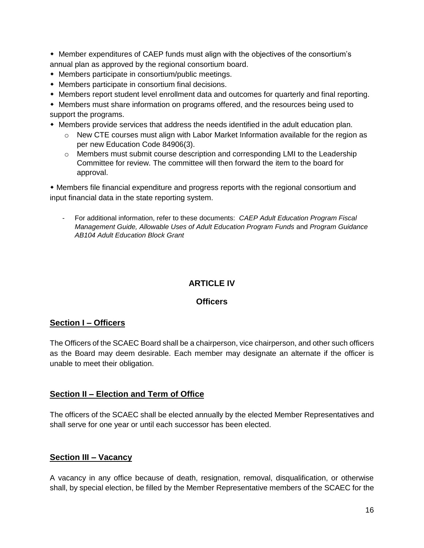• Member expenditures of CAEP funds must align with the objectives of the consortium's annual plan as approved by the regional consortium board.

- Members participate in consortium/public meetings.
- Members participate in consortium final decisions.
- Members report student level enrollment data and outcomes for quarterly and final reporting.

 Members must share information on programs offered, and the resources being used to support the programs.

- Members provide services that address the needs identified in the adult education plan.
	- $\circ$  New CTE courses must align with Labor Market Information available for the region as per new Education Code 84906(3).
	- $\circ$  Members must submit course description and corresponding LMI to the Leadership Committee for review. The committee will then forward the item to the board for approval.

 Members file financial expenditure and progress reports with the regional consortium and input financial data in the state reporting system.

- For additional information, refer to these documents: *CAEP Adult Education Program Fiscal Management Guide, Allowable Uses of Adult Education Program Funds* and *Program Guidance AB104 Adult Education Block Grant*

# **ARTICLE IV**

#### **Officers**

## **Section I – Officers**

The Officers of the SCAEC Board shall be a chairperson, vice chairperson, and other such officers as the Board may deem desirable. Each member may designate an alternate if the officer is unable to meet their obligation.

## **Section II – Election and Term of Office**

The officers of the SCAEC shall be elected annually by the elected Member Representatives and shall serve for one year or until each successor has been elected.

## **Section III – Vacancy**

A vacancy in any office because of death, resignation, removal, disqualification, or otherwise shall, by special election, be filled by the Member Representative members of the SCAEC for the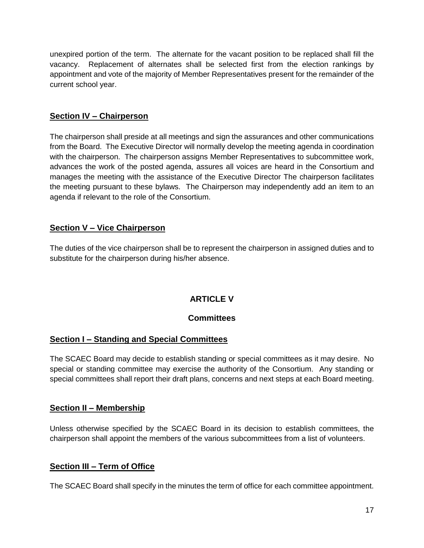unexpired portion of the term. The alternate for the vacant position to be replaced shall fill the vacancy. Replacement of alternates shall be selected first from the election rankings by appointment and vote of the majority of Member Representatives present for the remainder of the current school year.

# **Section IV – Chairperson**

The chairperson shall preside at all meetings and sign the assurances and other communications from the Board. The Executive Director will normally develop the meeting agenda in coordination with the chairperson. The chairperson assigns Member Representatives to subcommittee work, advances the work of the posted agenda, assures all voices are heard in the Consortium and manages the meeting with the assistance of the Executive Director The chairperson facilitates the meeting pursuant to these bylaws. The Chairperson may independently add an item to an agenda if relevant to the role of the Consortium.

# **Section V – Vice Chairperson**

The duties of the vice chairperson shall be to represent the chairperson in assigned duties and to substitute for the chairperson during his/her absence.

# **ARTICLE V**

# **Committees**

# **Section I – Standing and Special Committees**

The SCAEC Board may decide to establish standing or special committees as it may desire. No special or standing committee may exercise the authority of the Consortium. Any standing or special committees shall report their draft plans, concerns and next steps at each Board meeting.

## **Section II – Membership**

Unless otherwise specified by the SCAEC Board in its decision to establish committees, the chairperson shall appoint the members of the various subcommittees from a list of volunteers.

# **Section III – Term of Office**

The SCAEC Board shall specify in the minutes the term of office for each committee appointment.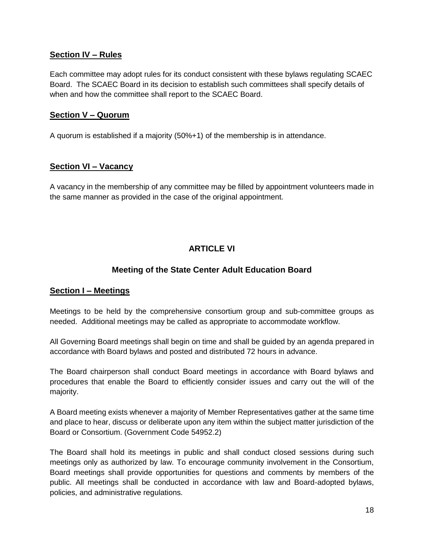## **Section IV – Rules**

Each committee may adopt rules for its conduct consistent with these bylaws regulating SCAEC Board. The SCAEC Board in its decision to establish such committees shall specify details of when and how the committee shall report to the SCAEC Board.

# **Section V – Quorum**

A quorum is established if a majority (50%+1) of the membership is in attendance.

# **Section VI – Vacancy**

A vacancy in the membership of any committee may be filled by appointment volunteers made in the same manner as provided in the case of the original appointment.

# **ARTICLE VI**

# **Meeting of the State Center Adult Education Board**

## **Section I – Meetings**

Meetings to be held by the comprehensive consortium group and sub-committee groups as needed. Additional meetings may be called as appropriate to accommodate workflow.

All Governing Board meetings shall begin on time and shall be guided by an agenda prepared in accordance with Board bylaws and posted and distributed 72 hours in advance.

The Board chairperson shall conduct Board meetings in accordance with Board bylaws and procedures that enable the Board to efficiently consider issues and carry out the will of the majority.

A Board meeting exists whenever a majority of Member Representatives gather at the same time and place to hear, discuss or deliberate upon any item within the subject matter jurisdiction of the Board or Consortium. (Government Code 54952.2)

The Board shall hold its meetings in public and shall conduct closed sessions during such meetings only as authorized by law. To encourage community involvement in the Consortium, Board meetings shall provide opportunities for questions and comments by members of the public. All meetings shall be conducted in accordance with law and Board-adopted bylaws, policies, and administrative regulations.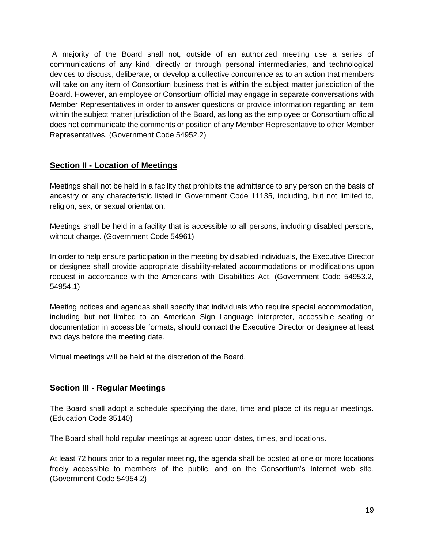A majority of the Board shall not, outside of an authorized meeting use a series of communications of any kind, directly or through personal intermediaries, and technological devices to discuss, deliberate, or develop a collective concurrence as to an action that members will take on any item of Consortium business that is within the subject matter jurisdiction of the Board. However, an employee or Consortium official may engage in separate conversations with Member Representatives in order to answer questions or provide information regarding an item within the subject matter jurisdiction of the Board, as long as the employee or Consortium official does not communicate the comments or position of any Member Representative to other Member Representatives. (Government Code 54952.2)

# **Section II - Location of Meetings**

Meetings shall not be held in a facility that prohibits the admittance to any person on the basis of ancestry or any characteristic listed in Government Code 11135, including, but not limited to, religion, sex, or sexual orientation.

Meetings shall be held in a facility that is accessible to all persons, including disabled persons, without charge. (Government Code 54961)

In order to help ensure participation in the meeting by disabled individuals, the Executive Director or designee shall provide appropriate disability-related accommodations or modifications upon request in accordance with the Americans with Disabilities Act. (Government Code 54953.2, 54954.1)

Meeting notices and agendas shall specify that individuals who require special accommodation, including but not limited to an American Sign Language interpreter, accessible seating or documentation in accessible formats, should contact the Executive Director or designee at least two days before the meeting date.

Virtual meetings will be held at the discretion of the Board.

## **Section III - Regular Meetings**

The Board shall adopt a schedule specifying the date, time and place of its regular meetings. (Education Code 35140)

The Board shall hold regular meetings at agreed upon dates, times, and locations.

At least 72 hours prior to a regular meeting, the agenda shall be posted at one or more locations freely accessible to members of the public, and on the Consortium's Internet web site. (Government Code 54954.2)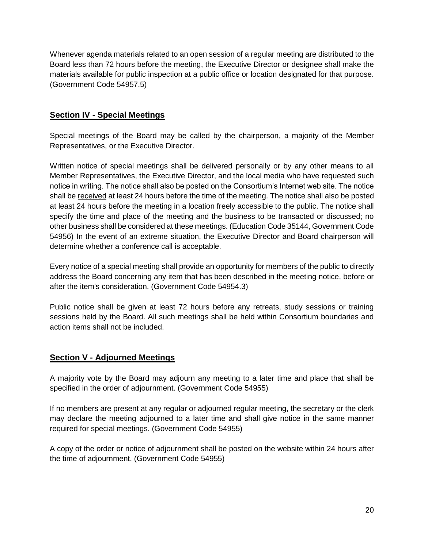Whenever agenda materials related to an open session of a regular meeting are distributed to the Board less than 72 hours before the meeting, the Executive Director or designee shall make the materials available for public inspection at a public office or location designated for that purpose. (Government Code 54957.5)

# **Section IV - Special Meetings**

Special meetings of the Board may be called by the chairperson, a majority of the Member Representatives, or the Executive Director.

Written notice of special meetings shall be delivered personally or by any other means to all Member Representatives, the Executive Director, and the local media who have requested such notice in writing. The notice shall also be posted on the Consortium's Internet web site. The notice shall be received at least 24 hours before the time of the meeting. The notice shall also be posted at least 24 hours before the meeting in a location freely accessible to the public. The notice shall specify the time and place of the meeting and the business to be transacted or discussed; no other business shall be considered at these meetings. (Education Code 35144, Government Code 54956) In the event of an extreme situation, the Executive Director and Board chairperson will determine whether a conference call is acceptable.

Every notice of a special meeting shall provide an opportunity for members of the public to directly address the Board concerning any item that has been described in the meeting notice, before or after the item's consideration. (Government Code 54954.3)

Public notice shall be given at least 72 hours before any retreats, study sessions or training sessions held by the Board. All such meetings shall be held within Consortium boundaries and action items shall not be included.

## **Section V - Adjourned Meetings**

A majority vote by the Board may adjourn any meeting to a later time and place that shall be specified in the order of adjournment. (Government Code 54955)

If no members are present at any regular or adjourned regular meeting, the secretary or the clerk may declare the meeting adjourned to a later time and shall give notice in the same manner required for special meetings. (Government Code 54955)

A copy of the order or notice of adjournment shall be posted on the website within 24 hours after the time of adjournment. (Government Code 54955)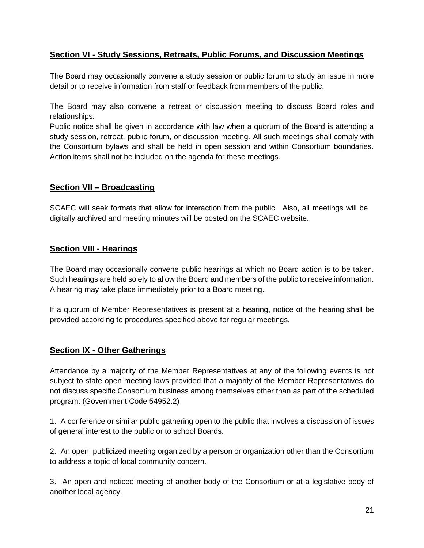# **Section VI - Study Sessions, Retreats, Public Forums, and Discussion Meetings**

The Board may occasionally convene a study session or public forum to study an issue in more detail or to receive information from staff or feedback from members of the public.

The Board may also convene a retreat or discussion meeting to discuss Board roles and relationships.

Public notice shall be given in accordance with law when a quorum of the Board is attending a study session, retreat, public forum, or discussion meeting. All such meetings shall comply with the Consortium bylaws and shall be held in open session and within Consortium boundaries. Action items shall not be included on the agenda for these meetings.

# **Section VII – Broadcasting**

SCAEC will seek formats that allow for interaction from the public. Also, all meetings will be digitally archived and meeting minutes will be posted on the SCAEC website.

# **Section VIII - Hearings**

The Board may occasionally convene public hearings at which no Board action is to be taken. Such hearings are held solely to allow the Board and members of the public to receive information. A hearing may take place immediately prior to a Board meeting.

If a quorum of Member Representatives is present at a hearing, notice of the hearing shall be provided according to procedures specified above for regular meetings.

## **Section IX - Other Gatherings**

Attendance by a majority of the Member Representatives at any of the following events is not subject to state open meeting laws provided that a majority of the Member Representatives do not discuss specific Consortium business among themselves other than as part of the scheduled program: (Government Code 54952.2)

1. A conference or similar public gathering open to the public that involves a discussion of issues of general interest to the public or to school Boards.

2. An open, publicized meeting organized by a person or organization other than the Consortium to address a topic of local community concern.

3. An open and noticed meeting of another body of the Consortium or at a legislative body of another local agency.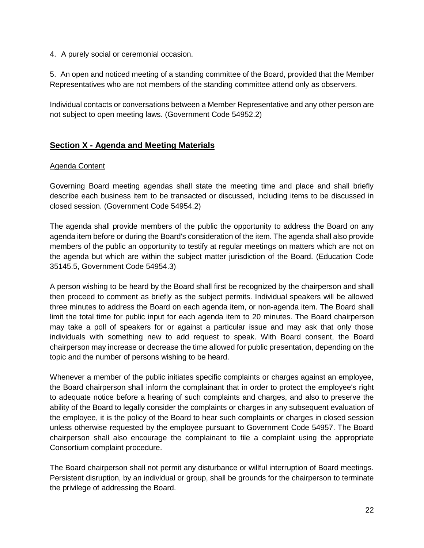4. A purely social or ceremonial occasion.

5. An open and noticed meeting of a standing committee of the Board, provided that the Member Representatives who are not members of the standing committee attend only as observers.

Individual contacts or conversations between a Member Representative and any other person are not subject to open meeting laws. (Government Code 54952.2)

# **Section X - Agenda and Meeting Materials**

#### Agenda Content

Governing Board meeting agendas shall state the meeting time and place and shall briefly describe each business item to be transacted or discussed, including items to be discussed in closed session. (Government Code 54954.2)

The agenda shall provide members of the public the opportunity to address the Board on any agenda item before or during the Board's consideration of the item. The agenda shall also provide members of the public an opportunity to testify at regular meetings on matters which are not on the agenda but which are within the subject matter jurisdiction of the Board. (Education Code 35145.5, Government Code 54954.3)

A person wishing to be heard by the Board shall first be recognized by the chairperson and shall then proceed to comment as briefly as the subject permits. Individual speakers will be allowed three minutes to address the Board on each agenda item, or non-agenda item. The Board shall limit the total time for public input for each agenda item to 20 minutes. The Board chairperson may take a poll of speakers for or against a particular issue and may ask that only those individuals with something new to add request to speak. With Board consent, the Board chairperson may increase or decrease the time allowed for public presentation, depending on the topic and the number of persons wishing to be heard.

Whenever a member of the public initiates specific complaints or charges against an employee, the Board chairperson shall inform the complainant that in order to protect the employee's right to adequate notice before a hearing of such complaints and charges, and also to preserve the ability of the Board to legally consider the complaints or charges in any subsequent evaluation of the employee, it is the policy of the Board to hear such complaints or charges in closed session unless otherwise requested by the employee pursuant to Government Code 54957. The Board chairperson shall also encourage the complainant to file a complaint using the appropriate Consortium complaint procedure.

The Board chairperson shall not permit any disturbance or willful interruption of Board meetings. Persistent disruption, by an individual or group, shall be grounds for the chairperson to terminate the privilege of addressing the Board.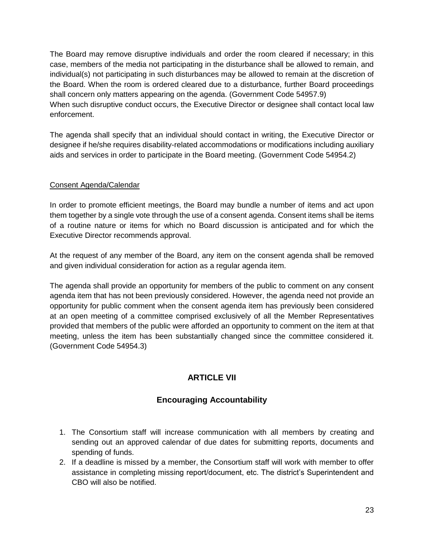The Board may remove disruptive individuals and order the room cleared if necessary; in this case, members of the media not participating in the disturbance shall be allowed to remain, and individual(s) not participating in such disturbances may be allowed to remain at the discretion of the Board. When the room is ordered cleared due to a disturbance, further Board proceedings shall concern only matters appearing on the agenda. (Government Code 54957.9) When such disruptive conduct occurs, the Executive Director or designee shall contact local law enforcement.

The agenda shall specify that an individual should contact in writing, the Executive Director or designee if he/she requires disability-related accommodations or modifications including auxiliary aids and services in order to participate in the Board meeting. (Government Code 54954.2)

# Consent Agenda/Calendar

In order to promote efficient meetings, the Board may bundle a number of items and act upon them together by a single vote through the use of a consent agenda. Consent items shall be items of a routine nature or items for which no Board discussion is anticipated and for which the Executive Director recommends approval.

At the request of any member of the Board, any item on the consent agenda shall be removed and given individual consideration for action as a regular agenda item.

The agenda shall provide an opportunity for members of the public to comment on any consent agenda item that has not been previously considered. However, the agenda need not provide an opportunity for public comment when the consent agenda item has previously been considered at an open meeting of a committee comprised exclusively of all the Member Representatives provided that members of the public were afforded an opportunity to comment on the item at that meeting, unless the item has been substantially changed since the committee considered it. (Government Code 54954.3)

# **ARTICLE VII**

# **Encouraging Accountability**

- 1. The Consortium staff will increase communication with all members by creating and sending out an approved calendar of due dates for submitting reports, documents and spending of funds.
- 2. If a deadline is missed by a member, the Consortium staff will work with member to offer assistance in completing missing report/document, etc. The district's Superintendent and CBO will also be notified.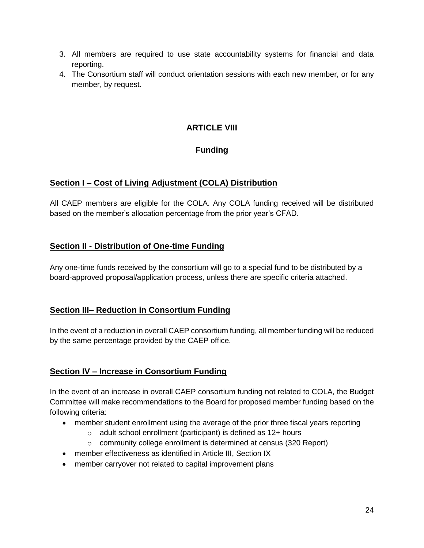- 3. All members are required to use state accountability systems for financial and data reporting.
- 4. The Consortium staff will conduct orientation sessions with each new member, or for any member, by request.

# **ARTICLE VIII**

# **Funding**

# **Section I – Cost of Living Adjustment (COLA) Distribution**

All CAEP members are eligible for the COLA. Any COLA funding received will be distributed based on the member's allocation percentage from the prior year's CFAD.

# **Section II - Distribution of One-time Funding**

Any one-time funds received by the consortium will go to a special fund to be distributed by a board-approved proposal/application process, unless there are specific criteria attached.

# **Section III– Reduction in Consortium Funding**

In the event of a reduction in overall CAEP consortium funding, all member funding will be reduced by the same percentage provided by the CAEP office.

# **Section IV – Increase in Consortium Funding**

In the event of an increase in overall CAEP consortium funding not related to COLA, the Budget Committee will make recommendations to the Board for proposed member funding based on the following criteria:

- member student enrollment using the average of the prior three fiscal years reporting
	- $\circ$  adult school enrollment (participant) is defined as 12+ hours
	- $\circ$  community college enrollment is determined at census (320 Report)
- member effectiveness as identified in Article III, Section IX
- member carryover not related to capital improvement plans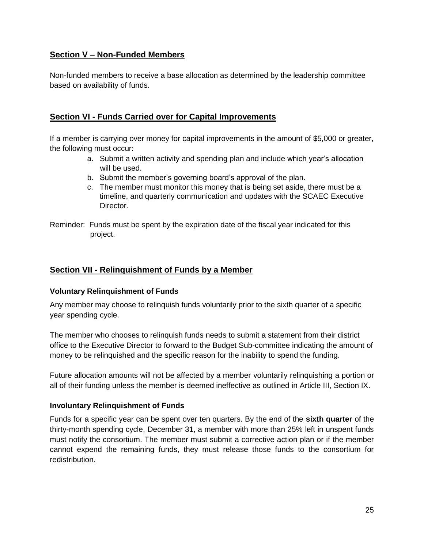# **Section V – Non-Funded Members**

Non-funded members to receive a base allocation as determined by the leadership committee based on availability of funds.

# **Section VI - Funds Carried over for Capital Improvements**

If a member is carrying over money for capital improvements in the amount of \$5,000 or greater, the following must occur:

- a. Submit a written activity and spending plan and include which year's allocation will be used.
- b. Submit the member's governing board's approval of the plan.
- c. The member must monitor this money that is being set aside, there must be a timeline, and quarterly communication and updates with the SCAEC Executive Director.
- Reminder: Funds must be spent by the expiration date of the fiscal year indicated for this project.

## **Section VII - Relinquishment of Funds by a Member**

#### **Voluntary Relinquishment of Funds**

Any member may choose to relinquish funds voluntarily prior to the sixth quarter of a specific year spending cycle.

The member who chooses to relinquish funds needs to submit a statement from their district office to the Executive Director to forward to the Budget Sub-committee indicating the amount of money to be relinquished and the specific reason for the inability to spend the funding.

Future allocation amounts will not be affected by a member voluntarily relinquishing a portion or all of their funding unless the member is deemed ineffective as outlined in Article III, Section IX.

#### **Involuntary Relinquishment of Funds**

Funds for a specific year can be spent over ten quarters. By the end of the **sixth quarter** of the thirty-month spending cycle, December 31, a member with more than 25% left in unspent funds must notify the consortium. The member must submit a corrective action plan or if the member cannot expend the remaining funds, they must release those funds to the consortium for redistribution.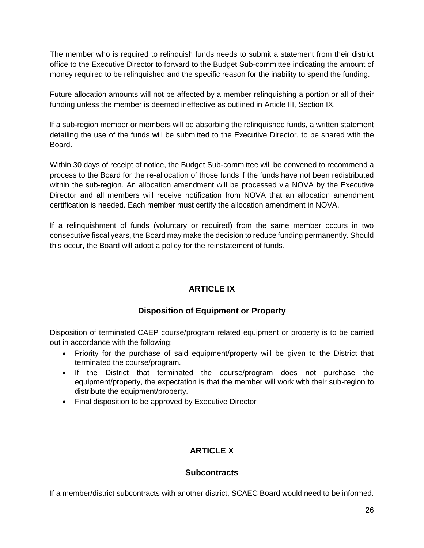The member who is required to relinquish funds needs to submit a statement from their district office to the Executive Director to forward to the Budget Sub-committee indicating the amount of money required to be relinquished and the specific reason for the inability to spend the funding.

Future allocation amounts will not be affected by a member relinquishing a portion or all of their funding unless the member is deemed ineffective as outlined in Article III, Section IX.

If a sub-region member or members will be absorbing the relinquished funds, a written statement detailing the use of the funds will be submitted to the Executive Director, to be shared with the Board.

Within 30 days of receipt of notice, the Budget Sub-committee will be convened to recommend a process to the Board for the re-allocation of those funds if the funds have not been redistributed within the sub-region. An allocation amendment will be processed via NOVA by the Executive Director and all members will receive notification from NOVA that an allocation amendment certification is needed. Each member must certify the allocation amendment in NOVA.

If a relinquishment of funds (voluntary or required) from the same member occurs in two consecutive fiscal years, the Board may make the decision to reduce funding permanently. Should this occur, the Board will adopt a policy for the reinstatement of funds.

# **ARTICLE IX**

# **Disposition of Equipment or Property**

Disposition of terminated CAEP course/program related equipment or property is to be carried out in accordance with the following:

- Priority for the purchase of said equipment/property will be given to the District that terminated the course/program.
- If the District that terminated the course/program does not purchase the equipment/property, the expectation is that the member will work with their sub-region to distribute the equipment/property.
- Final disposition to be approved by Executive Director

# **ARTICLE X**

# **Subcontracts**

If a member/district subcontracts with another district, SCAEC Board would need to be informed.